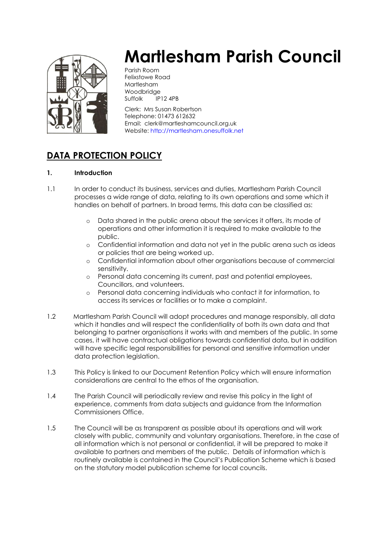

# **Martlesham Parish Council**

Parish Room Felixstowe Road Martlesham Woodbridge Suffolk IP12 4PB

Clerk: Mrs Susan Robertson Telephone: 01473 612632 Email: clerk@martleshamcouncil.org.uk Website[: http://martlesham.onesuffolk.net](http://martlesham.onesuffolk.net/)

# **DATA PROTECTION POLICY**

# **1. Introduction**

- 1.1 In order to conduct its business, services and duties, Martlesham Parish Council processes a wide range of data, relating to its own operations and some which it handles on behalf of partners. In broad terms, this data can be classified as:
	- o Data shared in the public arena about the services it offers, its mode of operations and other information it is required to make available to the public.
	- o Confidential information and data not yet in the public arena such as ideas or policies that are being worked up.
	- o Confidential information about other organisations because of commercial sensitivity.
	- o Personal data concerning its current, past and potential employees, Councillors, and volunteers.
	- o Personal data concerning individuals who contact it for information, to access its services or facilities or to make a complaint.
- 1.2 Martlesham Parish Council will adopt procedures and manage responsibly, all data which it handles and will respect the confidentiality of both its own data and that belonging to partner organisations it works with and members of the public. In some cases, it will have contractual obligations towards confidential data, but in addition will have specific legal responsibilities for personal and sensitive information under data protection legislation.
- 1.3 This Policy is linked to our Document Retention Policy which will ensure information considerations are central to the ethos of the organisation.
- 1.4 The Parish Council will periodically review and revise this policy in the light of experience, comments from data subjects and guidance from the Information Commissioners Office.
- 1.5 The Council will be as transparent as possible about its operations and will work closely with public, community and voluntary organisations. Therefore, in the case of all information which is not personal or confidential, it will be prepared to make it available to partners and members of the public. Details of information which is routinely available is contained in the Council's Publication Scheme which is based on the statutory model publication scheme for local councils.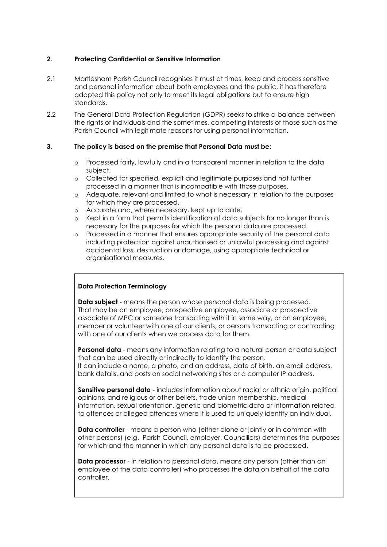# **2. Protecting Confidential or Sensitive Information**

- 2.1 Martlesham Parish Council recognises it must at times, keep and process sensitive and personal information about both employees and the public, it has therefore adopted this policy not only to meet its legal obligations but to ensure high standards.
- 2.2 The General Data Protection Regulation (GDPR) seeks to strike a balance between the rights of individuals and the sometimes, competing interests of those such as the Parish Council with legitimate reasons for using personal information.

#### **3. The policy is based on the premise that Personal Data must be:**

- o Processed fairly, lawfully and in a transparent manner in relation to the data subject.
- o Collected for specified, explicit and legitimate purposes and not further processed in a manner that is incompatible with those purposes.
- o Adequate, relevant and limited to what is necessary in relation to the purposes for which they are processed.
- o Accurate and, where necessary, kept up to date.
- o Kept in a form that permits identification of data subjects for no longer than is necessary for the purposes for which the personal data are processed.
- o Processed in a manner that ensures appropriate security of the personal data including protection against unauthorised or unlawful processing and against accidental loss, destruction or damage, using appropriate technical or organisational measures.

#### **Data Protection Terminology**

**Data subject** - means the person whose personal data is being processed. That may be an employee, prospective employee, associate or prospective associate of MPC or someone transacting with it in some way, or an employee, member or volunteer with one of our clients, or persons transacting or contracting with one of our clients when we process data for them.

**Personal data** - means any information relating to a natural person or data subject that can be used directly or indirectly to identify the person. It can include a name, a photo, and an address, date of birth, an email address, bank details, and posts on social networking sites or a computer IP address.

**Sensitive personal data** - includes information about racial or ethnic origin, political opinions, and religious or other beliefs, trade union membership, medical information, sexual orientation, genetic and biometric data or information related to offences or alleged offences where it is used to uniquely identify an individual.

**Data controller** - means a person who (either alone or jointly or in common with other persons) (e.g. Parish Council, employer, Councillors) determines the purposes for which and the manner in which any personal data is to be processed.

**Data processor** - in relation to personal data, means any person (other than an employee of the data controller) who processes the data on behalf of the data controller.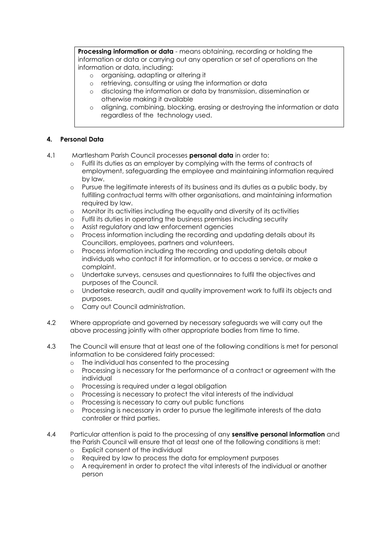**Processing information or data** - means obtaining, recording or holding the information or data or carrying out any operation or set of operations on the information or data, including:

- o organising, adapting or altering it
- o retrieving, consulting or using the information or data
- o disclosing the information or data by transmission, dissemination or otherwise making it available
- o aligning, combining, blocking, erasing or destroying the information or data regardless of the technology used.

# **4. Personal Data**

- 4.1 Martlesham Parish Council processes **personal data** in order to:
	- o Fulfil its duties as an employer by complying with the terms of contracts of employment, safeguarding the employee and maintaining information required by law.
	- o Pursue the legitimate interests of its business and its duties as a public body, by fulfilling contractual terms with other organisations, and maintaining information required by law.
	- o Monitor its activities including the equality and diversity of its activities
	- o Fulfil its duties in operating the business premises including security
	- o Assist regulatory and law enforcement agencies
	- o Process information including the recording and updating details about its Councillors, employees, partners and volunteers.
	- o Process information including the recording and updating details about individuals who contact it for information, or to access a service, or make a complaint.
	- o Undertake surveys, censuses and questionnaires to fulfil the objectives and purposes of the Council.
	- o Undertake research, audit and quality improvement work to fulfil its objects and purposes.
	- o Carry out Council administration.
- 4.2 Where appropriate and governed by necessary safeguards we will carry out the above processing jointly with other appropriate bodies from time to time.
- 4.3 The Council will ensure that at least one of the following conditions is met for personal information to be considered fairly processed:
	- o The individual has consented to the processing
	- o Processing is necessary for the performance of a contract or agreement with the individual
	- o Processing is required under a legal obligation
	- o Processing is necessary to protect the vital interests of the individual
	- o Processing is necessary to carry out public functions
	- o Processing is necessary in order to pursue the legitimate interests of the data controller or third parties.
- 4.4 Particular attention is paid to the processing of any **sensitive personal information** and the Parish Council will ensure that at least one of the following conditions is met:
	- o Explicit consent of the individual
	- o Required by law to process the data for employment purposes
	- o A requirement in order to protect the vital interests of the individual or another person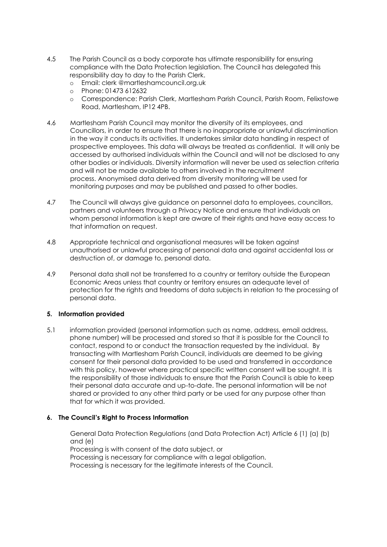- 4.5 The Parish Council as a body corporate has ultimate responsibility for ensuring compliance with the Data Protection legislation. The Council has delegated this responsibility day to day to the Parish Clerk.
	- o Email: clerk @martleshamcouncil.org.uk
	- o Phone: 01473 612632
	- o Correspondence: Parish Clerk, Martlesham Parish Council, Parish Room, Felixstowe Road, Martlesham, IP12 4PB.
- 4.6 Martlesham Parish Council may monitor the diversity of its employees, and Councillors, in order to ensure that there is no inappropriate or unlawful discrimination in the way it conducts its activities. It undertakes similar data handling in respect of prospective employees. This data will always be treated as confidential. It will only be accessed by authorised individuals within the Council and will not be disclosed to any other bodies or individuals. Diversity information will never be used as selection criteria and will not be made available to others involved in the recruitment process. Anonymised data derived from diversity monitoring will be used for monitoring purposes and may be published and passed to other bodies.
- 4.7 The Council will always give guidance on personnel data to employees, councillors, partners and volunteers through a Privacy Notice and ensure that individuals on whom personal information is kept are aware of their rights and have easy access to that information on request.
- 4.8 Appropriate technical and organisational measures will be taken against unauthorised or unlawful processing of personal data and against accidental loss or destruction of, or damage to, personal data.
- 4.9 Personal data shall not be transferred to a country or territory outside the European Economic Areas unless that country or territory ensures an adequate level of protection for the rights and freedoms of data subjects in relation to the processing of personal data.

# **5. Information provided**

5.1 information provided (personal information such as name, address, email address, phone number) will be processed and stored so that it is possible for the Council to contact, respond to or conduct the transaction requested by the individual. By transacting with Martlesham Parish Council, individuals are deemed to be giving consent for their personal data provided to be used and transferred in accordance with this policy, however where practical specific written consent will be sought. It is the responsibility of those individuals to ensure that the Parish Council is able to keep their personal data accurate and up-to-date. The personal information will be not shared or provided to any other third party or be used for any purpose other than that for which it was provided.

#### **6. The Council's Right to Process Information**

General Data Protection Regulations (and Data Protection Act) Article 6 (1) (a) (b) and (e) Processing is with consent of the data subject, or Processing is necessary for compliance with a legal obligation. Processing is necessary for the legitimate interests of the Council.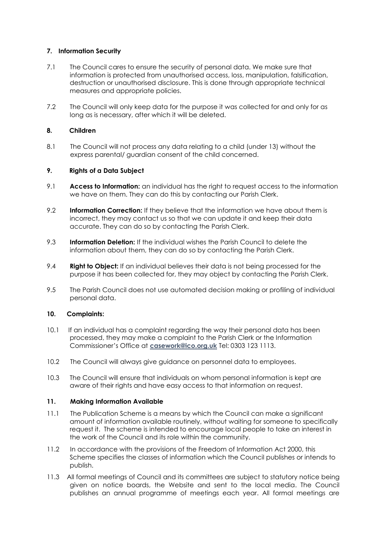#### **7. Information Security**

- 7.1 The Council cares to ensure the security of personal data. We make sure that information is protected from unauthorised access, loss, manipulation, falsification, destruction or unauthorised disclosure. This is done through appropriate technical measures and appropriate policies.
- 7.2 The Council will only keep data for the purpose it was collected for and only for as long as is necessary, after which it will be deleted.

## **8. Children**

8.1 The Council will not process any data relating to a child (under 13) without the express parental/ guardian consent of the child concerned.

#### **9. Rights of a Data Subject**

- 9.1 **Access to Information:** an individual has the right to request access to the information we have on them. They can do this by contacting our Parish Clerk.
- 9.2 **Information Correction:** If they believe that the information we have about them is incorrect, they may contact us so that we can update it and keep their data accurate. They can do so by contacting the Parish Clerk.
- 9.3 **Information Deletion:** If the individual wishes the Parish Council to delete the information about them, they can do so by contacting the Parish Clerk.
- 9.4 **Right to Object:** If an individual believes their data is not being processed for the purpose it has been collected for, they may object by contacting the Parish Clerk.
- 9.5 The Parish Council does not use automated decision making or profiling of individual personal data.

#### **10. Complaints:**

- 10.1 If an individual has a complaint regarding the way their personal data has been processed, they may make a complaint to the Parish Clerk or the Information Commissioner's Office at **[casework@ico.org.uk](mailto:casework@ico.org.uk)** Tel: 0303 123 1113.
- 10.2 The Council will always give guidance on personnel data to employees.
- 10.3 The Council will ensure that individuals on whom personal information is kept are aware of their rights and have easy access to that information on request.

#### **11. Making Information Available**

- 11.1The Publication Scheme is a means by which the Council can make a significant amount of information available routinely, without waiting for someone to specifically request it. The scheme is intended to encourage local people to take an interest in the work of the Council and its role within the community.
- 11.2 In accordance with the provisions of the Freedom of Information Act 2000, this Scheme specifies the classes of information which the Council publishes or intends to publish.
- 11.3 All formal meetings of Council and its committees are subject to statutory notice being given on notice boards, the Website and sent to the local media. The Council publishes an annual programme of meetings each year. All formal meetings are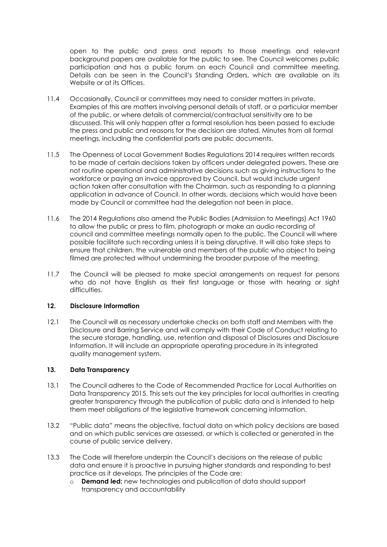open to the public and press and reports to those meetings and relevant background papers are available for the public to see. The Council welcomes public participation and has a public forum on each Council and committee meeting. Details can be seen in the Council's Standing Orders, which are available on its Website or at its Offices.

- 11.4 Occasionally, Council or committees may need to consider matters in private. Examples of this are matters involving personal details of staff, or a particular member of the public, or where details of commercial/contractual sensitivity are to be discussed. This will only happen after a formal resolution has been passed to exclude the press and public and reasons for the decision are stated. Minutes from all formal meetings, including the confidential parts are public documents.
- 11.5 The Openness of Local Government Bodies Regulations 2014 requires written records to be made of certain decisions taken by officers under delegated powers. These are not routine operational and administrative decisions such as giving instructions to the workforce or paying an invoice approved by Council, but would include urgent action taken after consultation with the Chairman, such as responding to a planning application in advance of Council. In other words, decisions which would have been made by Council or committee had the delegation not been in place.
- 11.6 The 2014 Regulations also amend the Public Bodies (Admission to Meetings) Act 1960 to allow the public or press to film, photograph or make an audio recording of council and committee meetings normally open to the public. The Council will where possible facilitate such recording unless it is being disruptive. It will also take steps to ensure that children, the vulnerable and members of the public who object to being filmed are protected without undermining the broader purpose of the meeting.
- 11.7 The Council will be pleased to make special arrangements on request for persons who do not have English as their first language or those with hearing or sight difficulties

#### **12. Disclosure Information**

12.1 The Council will as necessary undertake checks on both staff and Members with the Disclosure and Barring Service and will comply with their Code of Conduct relating to the secure storage, handling, use, retention and disposal of Disclosures and Disclosure Information. It will include an appropriate operating procedure in its integrated quality management system.

#### **13. Data Transparency**

- 13.1 The Council adheres to the Code of Recommended Practice for Local Authorities on Data Transparency 2015. This sets out the key principles for local authorities in creating greater transparency through the publication of public data and is intended to help them meet obligations of the legislative framework concerning information.
- 13.2 "Public data" means the objective, factual data on which policy decisions are based and on which public services are assessed, or which is collected or generated in the course of public service delivery.
- 13.3 The Code will therefore underpin the Council's decisions on the release of public data and ensure it is proactive in pursuing higher standards and responding to best practice as it develops. The principles of the Code are:
	- o **Demand led:** new technologies and publication of data should support transparency and accountability